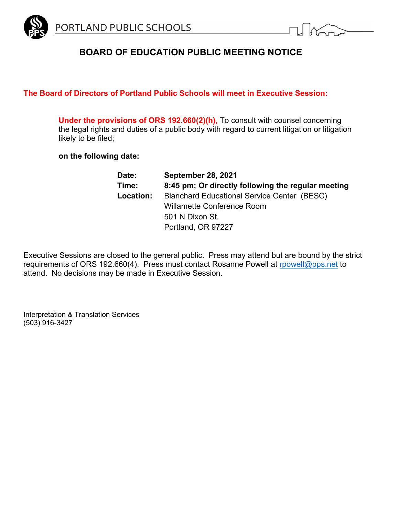

# **BOARD OF EDUCATION PUBLIC MEETING NOTICE**

# **The Board of Directors of Portland Public Schools will meet in Executive Session:**

**Under the provisions of ORS 192.660(2)(h),** To consult with counsel concerning the legal rights and duties of a public body with regard to current litigation or litigation likely to be filed;

**on the following date:**

| Date:     | <b>September 28, 2021</b>                          |
|-----------|----------------------------------------------------|
| Time:     | 8:45 pm; Or directly following the regular meeting |
| Location: | <b>Blanchard Educational Service Center (BESC)</b> |
|           | <b>Willamette Conference Room</b>                  |
|           | 501 N Dixon St.                                    |
|           | Portland, OR 97227                                 |

Executive Sessions are closed to the general public. Press may attend but are bound by the strict requirements of ORS 192.660(4). Press must contact Rosanne Powell at [rpowell@pps.net](mailto:rpowell@pps.net) to attend. No decisions may be made in Executive Session.

Interpretation & Translation Services (503) 916-3427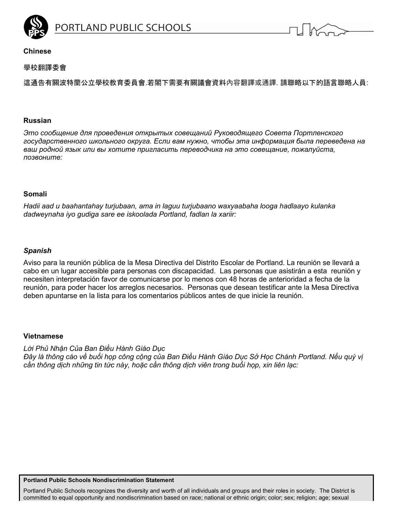

ORTLAND PUBLIC SCHOOLS



## **Chinese**

# 學校翻譯委會

這通告有關波特蘭公立學校教育委員會.若閣下需要有關議會資料內容翻譯或通譯. 請聯略以下的語言聯略人員:

#### **Russian**

*Это сообщение для проведения открытых совещаний Руководящего Совета Портленского государственного школьного округа. Если вам нужно, чтобы эта информация была переведена на ваш родной язык или вы хотите пригласить переводчика на это совещание, пожалуйста, позвоните:*

#### **Somali**

*Hadii aad u baahantahay turjubaan, ama in laguu turjubaano waxyaabaha looga hadlaayo kulanka dadweynaha iyo gudiga sare ee iskoolada Portland, fadlan la xariir:* 

## *Spanish*

Aviso para la reunión pública de la Mesa Directiva del Distrito Escolar de Portland. La reunión se llevará a cabo en un lugar accesible para personas con discapacidad. Las personas que asistirán a esta reunión y necesiten interpretación favor de comunicarse por lo menos con 48 horas de anterioridad a fecha de la reunión, para poder hacer los arreglos necesarios. Personas que desean testificar ante la Mesa Directiva deben apuntarse en la lista para los comentarios públicos antes de que inicie la reunión.

#### **Vietnamese**

*Lời Phủ Nhận Của Ban Ðiều Hành Giáo Dục Ðây là thông cáo về buổi họp công cộng của Ban Ðiều Hành Giáo Dục Sở Học Chánh Portland. Nếu quý vị cần thông dịch những tin tức này, hoặc cần thông dịch viên trong buổi họp, xin liên lạc:* 

#### **Portland Public Schools Nondiscrimination Statement**

Portland Public Schools recognizes the diversity and worth of all individuals and groups and their roles in society. The District is committed to equal opportunity and nondiscrimination based on race; national or ethnic origin; color; sex; religion; age; sexual